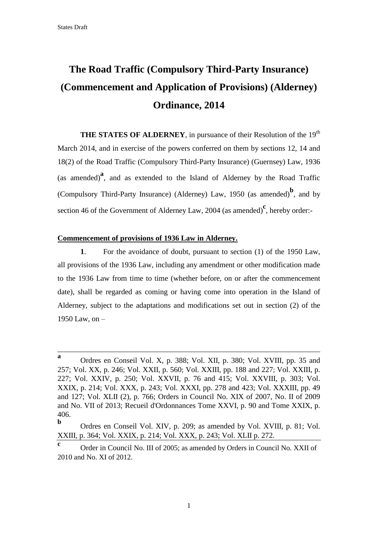# **The Road Traffic (Compulsory Third-Party Insurance) (Commencement and Application of Provisions) (Alderney) Ordinance, 2014**

**THE STATES OF ALDERNEY**, in pursuance of their Resolution of the 19<sup>th</sup> March 2014, and in exercise of the powers conferred on them by sections 12, 14 and 18(2) of the Road Traffic (Compulsory Third-Party Insurance) (Guernsey) Law, 1936 (as amended)**<sup>a</sup>** , and as extended to the Island of Alderney by the Road Traffic (Compulsory Third-Party Insurance) (Alderney) Law, 1950 (as amended)**<sup>b</sup>** , and by section 46 of the Government of Alderney Law, 2004 (as amended)<sup>c</sup>, hereby order:-

#### **Commencement of provisions of 1936 Law in Alderney.**

**1**. For the avoidance of doubt, pursuant to section (1) of the 1950 Law, all provisions of the 1936 Law, including any amendment or other modification made to the 1936 Law from time to time (whether before, on or after the commencement date), shall be regarded as coming or having come into operation in the Island of Alderney, subject to the adaptations and modifications set out in section (2) of the 1950 Law, on –

**a** Ordres en Conseil Vol. X, p. 388; Vol. XII, p. 380; Vol. XVIII, pp. 35 and 257; Vol. XX, p. 246; Vol. XXII, p. 560; Vol. XXIII, pp. 188 and 227; Vol. XXIII, p. 227; Vol. XXIV, p. 250; Vol. XXVII, p. 76 and 415; Vol. XXVIII, p. 303; Vol. XXIX, p. 214; Vol. XXX, p. 243; Vol. XXXI, pp. 278 and 423; Vol. XXXIII, pp. 49 and 127; Vol. XLII (2), p. 766; Orders in Council No. XIX of 2007, No. II of 2009 and No. VII of 2013; Recueil d'Ordonnances Tome XXVI, p. 90 and Tome XXIX, p. 406.

**b** Ordres en Conseil Vol. XIV, p. 209; as amended by Vol. XVIII, p. 81; Vol. XXIII, p. 364; Vol. XXIX, p. 214; Vol. XXX, p. 243; Vol. XLII p. 272.

**c** Order in Council No. III of 2005; as amended by Orders in Council No. XXII of 2010 and No. XI of 2012.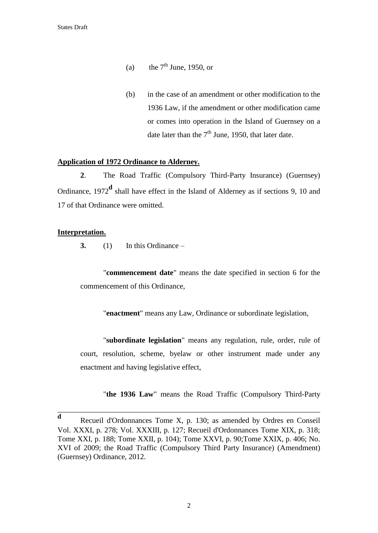- (a) the  $7<sup>th</sup>$  June, 1950, or
- (b) in the case of an amendment or other modification to the 1936 Law, if the amendment or other modification came or comes into operation in the Island of Guernsey on a date later than the  $7<sup>th</sup>$  June, 1950, that later date.

### **Application of 1972 Ordinance to Alderney.**

**2**. The Road Traffic (Compulsory Third-Party Insurance) (Guernsey) Ordinance, 1972**<sup>d</sup>** shall have effect in the Island of Alderney as if sections 9, 10 and 17 of that Ordinance were omitted.

## **Interpretation.**

**3.** (1) In this Ordinance –

"**commencement date**" means the date specified in section 6 for the commencement of this Ordinance,

"**enactment**" means any Law, Ordinance or subordinate legislation,

"**subordinate legislation**" means any regulation, rule, order, rule of court, resolution, scheme, byelaw or other instrument made under any enactment and having legislative effect,

"**the 1936 Law**" means the Road Traffic (Compulsory Third-Party

**d** Recueil d'Ordonnances Tome X, p. 130; as amended by Ordres en Conseil Vol. XXXI, p. 278; Vol. XXXIII, p. 127; Recueil d'Ordonnances Tome XIX, p. 318; Tome XXI, p. 188; Tome XXII, p. 104); Tome XXVI, p. 90;Tome XXIX, p. 406; No. XVI of 2009; the Road Traffic (Compulsory Third Party Insurance) (Amendment) (Guernsey) Ordinance, 2012.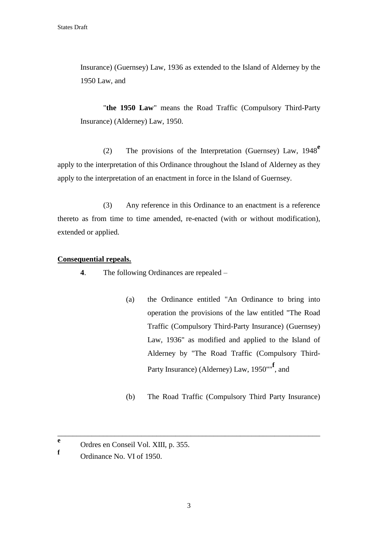Insurance) (Guernsey) Law, 1936 as extended to the Island of Alderney by the 1950 Law, and

"**the 1950 Law**" means the Road Traffic (Compulsory Third-Party Insurance) (Alderney) Law, 1950.

(2) The provisions of the Interpretation (Guernsey) Law, 1948**<sup>e</sup>** apply to the interpretation of this Ordinance throughout the Island of Alderney as they apply to the interpretation of an enactment in force in the Island of Guernsey.

(3) Any reference in this Ordinance to an enactment is a reference thereto as from time to time amended, re-enacted (with or without modification), extended or applied.

### **Consequential repeals.**

**4**. The following Ordinances are repealed –

- (a) the Ordinance entitled "An Ordinance to bring into operation the provisions of the law entitled "The Road Traffic (Compulsory Third-Party Insurance) (Guernsey) Law, 1936" as modified and applied to the Island of Alderney by "The Road Traffic (Compulsory Third-Party Insurance) (Alderney) Law, 1950""**<sup>f</sup>** , and
- (b) The Road Traffic (Compulsory Third Party Insurance)

**e** Ordres en Conseil Vol. XIII, p. 355.

**f** Ordinance No. VI of 1950.